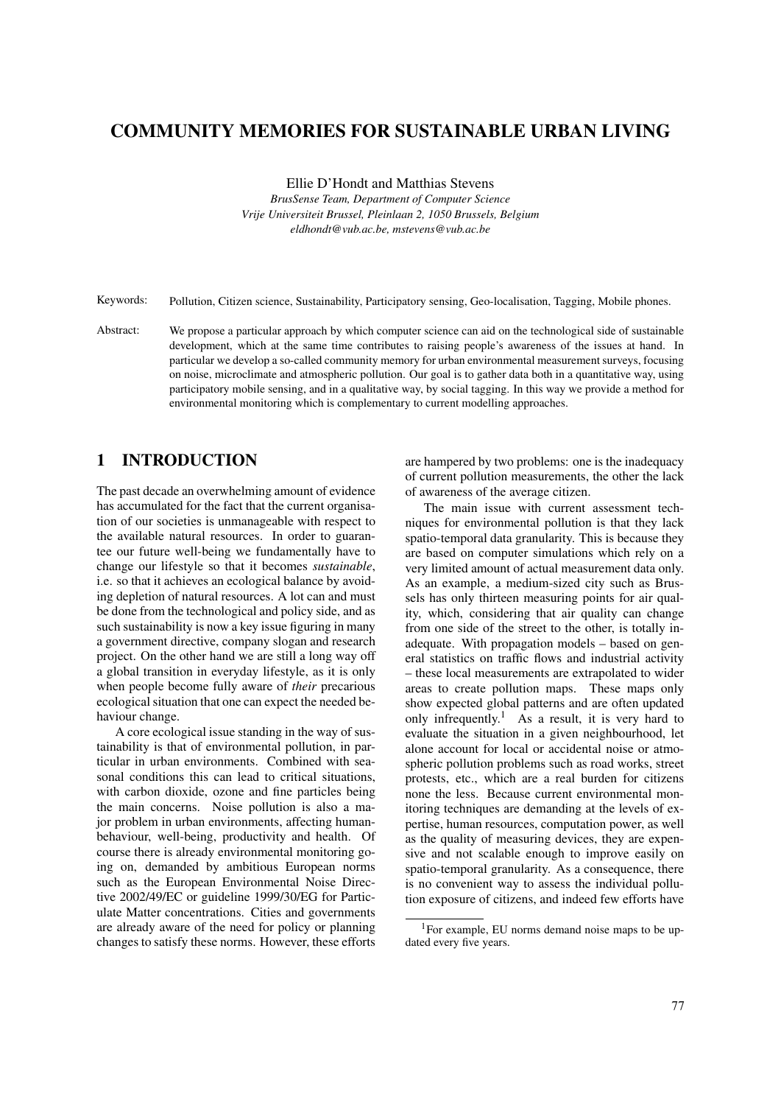# COMMUNITY MEMORIES FOR SUSTAINABLE URBAN LIVING

Ellie D'Hondt and Matthias Stevens

*BrusSense Team, Department of Computer Science Vrije Universiteit Brussel, Pleinlaan 2, 1050 Brussels, Belgium eldhondt@vub.ac.be, mstevens@vub.ac.be*

Keywords: Pollution, Citizen science, Sustainability, Participatory sensing, Geo-localisation, Tagging, Mobile phones.

Abstract: We propose a particular approach by which computer science can aid on the technological side of sustainable development, which at the same time contributes to raising people's awareness of the issues at hand. In particular we develop a so-called community memory for urban environmental measurement surveys, focusing on noise, microclimate and atmospheric pollution. Our goal is to gather data both in a quantitative way, using participatory mobile sensing, and in a qualitative way, by social tagging. In this way we provide a method for environmental monitoring which is complementary to current modelling approaches.

## 1 INTRODUCTION

The past decade an overwhelming amount of evidence has accumulated for the fact that the current organisation of our societies is unmanageable with respect to the available natural resources. In order to guarantee our future well-being we fundamentally have to change our lifestyle so that it becomes *sustainable*, i.e. so that it achieves an ecological balance by avoiding depletion of natural resources. A lot can and must be done from the technological and policy side, and as such sustainability is now a key issue figuring in many a government directive, company slogan and research project. On the other hand we are still a long way off a global transition in everyday lifestyle, as it is only when people become fully aware of *their* precarious ecological situation that one can expect the needed behaviour change.

A core ecological issue standing in the way of sustainability is that of environmental pollution, in particular in urban environments. Combined with seasonal conditions this can lead to critical situations, with carbon dioxide, ozone and fine particles being the main concerns. Noise pollution is also a major problem in urban environments, affecting humanbehaviour, well-being, productivity and health. Of course there is already environmental monitoring going on, demanded by ambitious European norms such as the European Environmental Noise Directive 2002/49/EC or guideline 1999/30/EG for Particulate Matter concentrations. Cities and governments are already aware of the need for policy or planning changes to satisfy these norms. However, these efforts

are hampered by two problems: one is the inadequacy of current pollution measurements, the other the lack of awareness of the average citizen.

The main issue with current assessment techniques for environmental pollution is that they lack spatio-temporal data granularity. This is because they are based on computer simulations which rely on a very limited amount of actual measurement data only. As an example, a medium-sized city such as Brussels has only thirteen measuring points for air quality, which, considering that air quality can change from one side of the street to the other, is totally inadequate. With propagation models – based on general statistics on traffic flows and industrial activity – these local measurements are extrapolated to wider areas to create pollution maps. These maps only show expected global patterns and are often updated only infrequently.<sup>1</sup> As a result, it is very hard to evaluate the situation in a given neighbourhood, let alone account for local or accidental noise or atmospheric pollution problems such as road works, street protests, etc., which are a real burden for citizens none the less. Because current environmental monitoring techniques are demanding at the levels of expertise, human resources, computation power, as well as the quality of measuring devices, they are expensive and not scalable enough to improve easily on spatio-temporal granularity. As a consequence, there is no convenient way to assess the individual pollution exposure of citizens, and indeed few efforts have

<sup>1</sup>For example, EU norms demand noise maps to be updated every five years.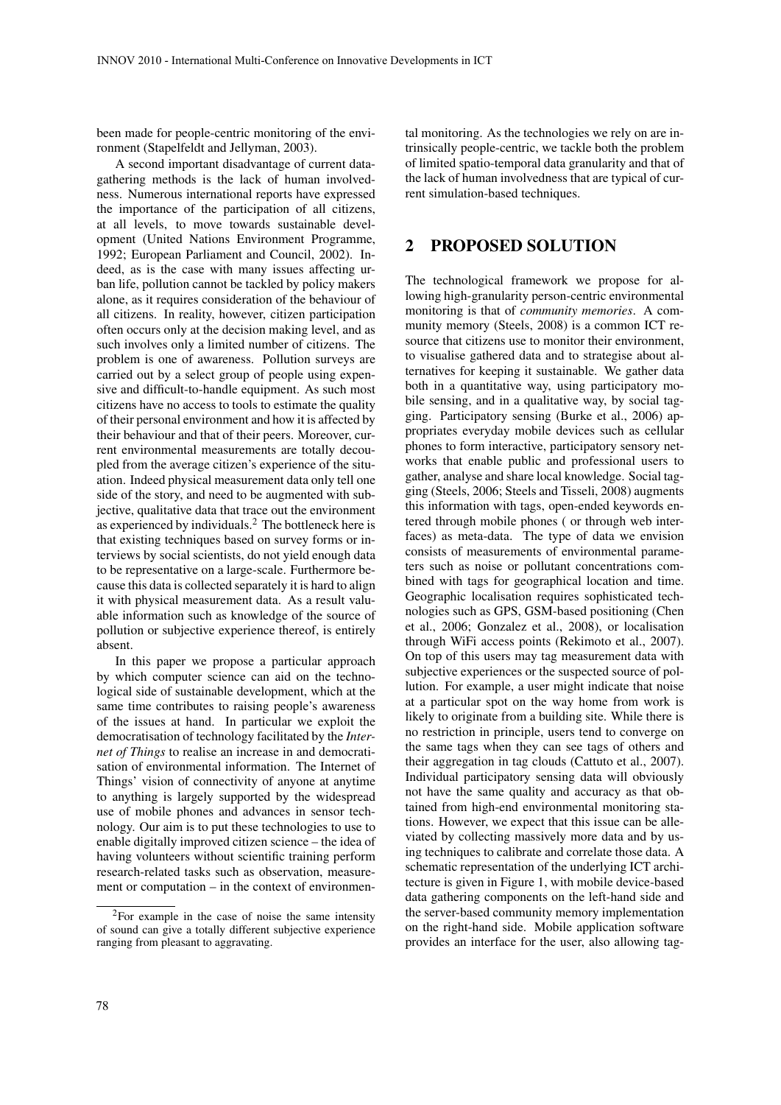been made for people-centric monitoring of the environment (Stapelfeldt and Jellyman, 2003).

A second important disadvantage of current datagathering methods is the lack of human involvedness. Numerous international reports have expressed the importance of the participation of all citizens, at all levels, to move towards sustainable development (United Nations Environment Programme, 1992; European Parliament and Council, 2002). Indeed, as is the case with many issues affecting urban life, pollution cannot be tackled by policy makers alone, as it requires consideration of the behaviour of all citizens. In reality, however, citizen participation often occurs only at the decision making level, and as such involves only a limited number of citizens. The problem is one of awareness. Pollution surveys are carried out by a select group of people using expensive and difficult-to-handle equipment. As such most citizens have no access to tools to estimate the quality of their personal environment and how it is affected by their behaviour and that of their peers. Moreover, current environmental measurements are totally decoupled from the average citizen's experience of the situation. Indeed physical measurement data only tell one side of the story, and need to be augmented with subjective, qualitative data that trace out the environment as experienced by individuals. $<sup>2</sup>$  The bottleneck here is</sup> that existing techniques based on survey forms or interviews by social scientists, do not yield enough data to be representative on a large-scale. Furthermore because this data is collected separately it is hard to align it with physical measurement data. As a result valuable information such as knowledge of the source of pollution or subjective experience thereof, is entirely absent.

In this paper we propose a particular approach by which computer science can aid on the technological side of sustainable development, which at the same time contributes to raising people's awareness of the issues at hand. In particular we exploit the democratisation of technology facilitated by the *Internet of Things* to realise an increase in and democratisation of environmental information. The Internet of Things' vision of connectivity of anyone at anytime to anything is largely supported by the widespread use of mobile phones and advances in sensor technology. Our aim is to put these technologies to use to enable digitally improved citizen science – the idea of having volunteers without scientific training perform research-related tasks such as observation, measurement or computation – in the context of environmen-

tal monitoring. As the technologies we rely on are intrinsically people-centric, we tackle both the problem of limited spatio-temporal data granularity and that of the lack of human involvedness that are typical of current simulation-based techniques.

#### 2 PROPOSED SOLUTION

The technological framework we propose for allowing high-granularity person-centric environmental monitoring is that of *community memories*. A community memory (Steels, 2008) is a common ICT resource that citizens use to monitor their environment, to visualise gathered data and to strategise about alternatives for keeping it sustainable. We gather data both in a quantitative way, using participatory mobile sensing, and in a qualitative way, by social tagging. Participatory sensing (Burke et al., 2006) appropriates everyday mobile devices such as cellular phones to form interactive, participatory sensory networks that enable public and professional users to gather, analyse and share local knowledge. Social tagging (Steels, 2006; Steels and Tisseli, 2008) augments this information with tags, open-ended keywords entered through mobile phones ( or through web interfaces) as meta-data. The type of data we envision consists of measurements of environmental parameters such as noise or pollutant concentrations combined with tags for geographical location and time. Geographic localisation requires sophisticated technologies such as GPS, GSM-based positioning (Chen et al., 2006; Gonzalez et al., 2008), or localisation through WiFi access points (Rekimoto et al., 2007). On top of this users may tag measurement data with subjective experiences or the suspected source of pollution. For example, a user might indicate that noise at a particular spot on the way home from work is likely to originate from a building site. While there is no restriction in principle, users tend to converge on the same tags when they can see tags of others and their aggregation in tag clouds (Cattuto et al., 2007). Individual participatory sensing data will obviously not have the same quality and accuracy as that obtained from high-end environmental monitoring stations. However, we expect that this issue can be alleviated by collecting massively more data and by using techniques to calibrate and correlate those data. A schematic representation of the underlying ICT architecture is given in Figure 1, with mobile device-based data gathering components on the left-hand side and the server-based community memory implementation on the right-hand side. Mobile application software provides an interface for the user, also allowing tag-

<sup>2</sup>For example in the case of noise the same intensity of sound can give a totally different subjective experience ranging from pleasant to aggravating.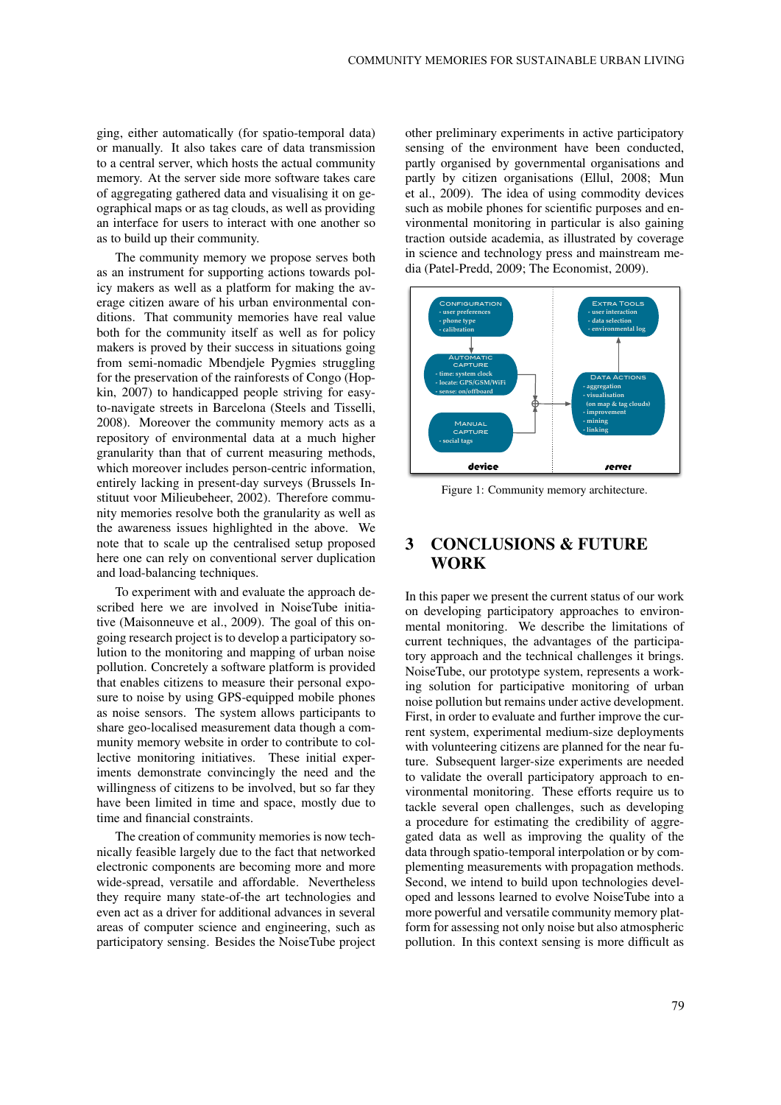ging, either automatically (for spatio-temporal data) or manually. It also takes care of data transmission to a central server, which hosts the actual community memory. At the server side more software takes care of aggregating gathered data and visualising it on geographical maps or as tag clouds, as well as providing an interface for users to interact with one another so as to build up their community.

The community memory we propose serves both as an instrument for supporting actions towards policy makers as well as a platform for making the average citizen aware of his urban environmental conditions. That community memories have real value both for the community itself as well as for policy makers is proved by their success in situations going from semi-nomadic Mbendjele Pygmies struggling for the preservation of the rainforests of Congo (Hopkin, 2007) to handicapped people striving for easyto-navigate streets in Barcelona (Steels and Tisselli, 2008). Moreover the community memory acts as a repository of environmental data at a much higher granularity than that of current measuring methods, which moreover includes person-centric information, entirely lacking in present-day surveys (Brussels Instituut voor Milieubeheer, 2002). Therefore community memories resolve both the granularity as well as the awareness issues highlighted in the above. We note that to scale up the centralised setup proposed here one can rely on conventional server duplication and load-balancing techniques.

To experiment with and evaluate the approach described here we are involved in NoiseTube initiative (Maisonneuve et al., 2009). The goal of this ongoing research project is to develop a participatory solution to the monitoring and mapping of urban noise pollution. Concretely a software platform is provided that enables citizens to measure their personal exposure to noise by using GPS-equipped mobile phones as noise sensors. The system allows participants to share geo-localised measurement data though a community memory website in order to contribute to collective monitoring initiatives. These initial experiments demonstrate convincingly the need and the willingness of citizens to be involved, but so far they have been limited in time and space, mostly due to time and financial constraints.

The creation of community memories is now technically feasible largely due to the fact that networked electronic components are becoming more and more wide-spread, versatile and affordable. Nevertheless they require many state-of-the art technologies and even act as a driver for additional advances in several areas of computer science and engineering, such as participatory sensing. Besides the NoiseTube project other preliminary experiments in active participatory sensing of the environment have been conducted, partly organised by governmental organisations and partly by citizen organisations (Ellul, 2008; Mun et al., 2009). The idea of using commodity devices such as mobile phones for scientific purposes and environmental monitoring in particular is also gaining traction outside academia, as illustrated by coverage in science and technology press and mainstream media (Patel-Predd, 2009; The Economist, 2009).



Figure 1: Community memory architecture.

## 3 CONCLUSIONS & FUTURE WORK

In this paper we present the current status of our work on developing participatory approaches to environmental monitoring. We describe the limitations of current techniques, the advantages of the participatory approach and the technical challenges it brings. NoiseTube, our prototype system, represents a working solution for participative monitoring of urban noise pollution but remains under active development. First, in order to evaluate and further improve the current system, experimental medium-size deployments with volunteering citizens are planned for the near future. Subsequent larger-size experiments are needed to validate the overall participatory approach to environmental monitoring. These efforts require us to tackle several open challenges, such as developing a procedure for estimating the credibility of aggregated data as well as improving the quality of the data through spatio-temporal interpolation or by complementing measurements with propagation methods. Second, we intend to build upon technologies developed and lessons learned to evolve NoiseTube into a more powerful and versatile community memory platform for assessing not only noise but also atmospheric pollution. In this context sensing is more difficult as